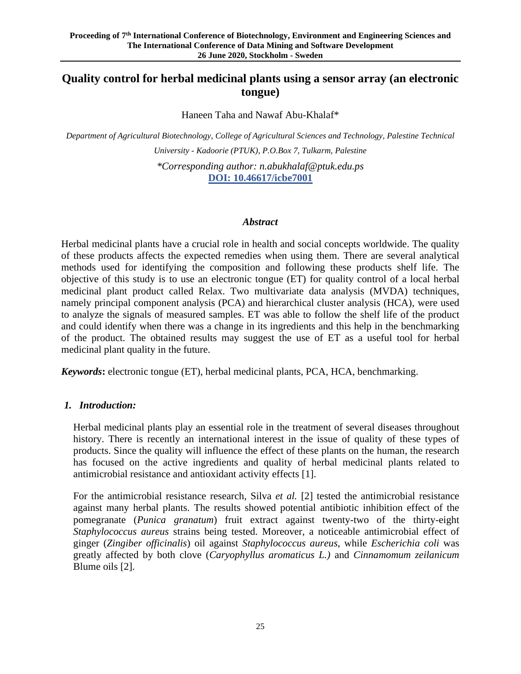# **Quality control for herbal medicinal plants using a sensor array (an electronic tongue)**

Haneen Taha and Nawaf Abu-Khalaf\*

*Department of Agricultural Biotechnology, College of Agricultural Sciences and Technology, Palestine Technical* 

*University - Kadoorie (PTUK), P.O.Box 7, Tulkarm, Palestine \*Corresponding author: n.abukhalaf@ptuk.edu.ps* **DOI: 10.46617/icbe7001**

#### *Abstract*

Herbal medicinal plants have a crucial role in health and social concepts worldwide. The quality of these products affects the expected remedies when using them. There are several analytical methods used for identifying the composition and following these products shelf life. The objective of this study is to use an electronic tongue (ET) for quality control of a local herbal medicinal plant product called Relax. Two multivariate data analysis (MVDA) techniques, namely principal component analysis (PCA) and hierarchical cluster analysis (HCA), were used to analyze the signals of measured samples. ET was able to follow the shelf life of the product and could identify when there was a change in its ingredients and this help in the benchmarking of the product. The obtained results may suggest the use of ET as a useful tool for herbal medicinal plant quality in the future.

*Keywords***:** electronic tongue (ET), herbal medicinal plants, PCA, HCA, benchmarking.

### *1. Introduction:*

Herbal medicinal plants play an essential role in the treatment of several diseases throughout history. There is recently an international interest in the issue of quality of these types of products. Since the quality will influence the effect of these plants on the human, the research has focused on the active ingredients and quality of herbal medicinal plants related to antimicrobial resistance and antioxidant activity effects [1].

For the antimicrobial resistance research, Silva *et al.* [2] tested the antimicrobial resistance against many herbal plants. The results showed potential antibiotic inhibition effect of the pomegranate (*Punica granatum*) fruit extract against twenty-two of the thirty-eight *Staphylococcus aureus* strains being tested. Moreover, a noticeable antimicrobial effect of ginger (*Zingiber officinalis*) oil against *Staphylococcus aureus*, while *Escherichia coli* was greatly affected by both clove (*Caryophyllus aromaticus L.)* and *Cinnamomum zeilanicum*  Blume oils [2].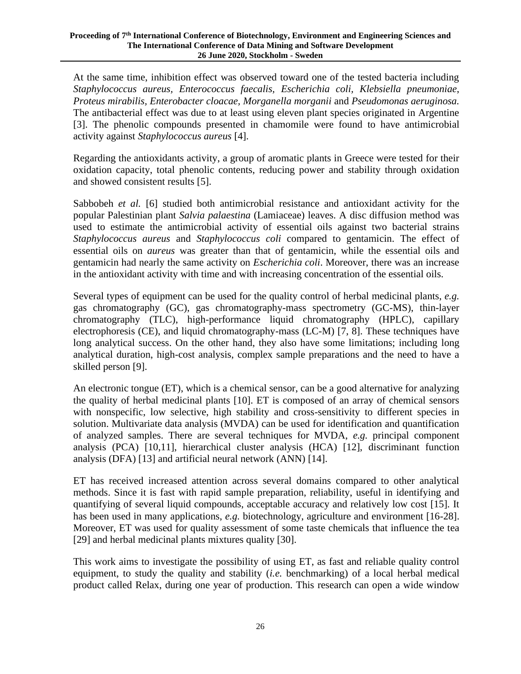At the same time, inhibition effect was observed toward one of the tested bacteria including *Staphylococcus aureus, Enterococcus faecalis, Escherichia coli, Klebsiella pneumoniae*, *Proteus mirabilis, Enterobacter cloacae, Morganella morganii* and *Pseudomonas aeruginosa.* The antibacterial effect was due to at least using eleven plant species originated in Argentine [3]. The phenolic compounds presented in chamomile were found to have antimicrobial activity against *Staphylococcus aureus* [4].

Regarding the antioxidants activity, a group of aromatic plants in Greece were tested for their oxidation capacity, total phenolic contents, reducing power and stability through oxidation and showed consistent results [5].

Sabbobeh *et al.* [6] studied both antimicrobial resistance and antioxidant activity for the popular Palestinian plant *Salvia palaestina* (Lamiaceae) leaves. A disc diffusion method was used to estimate the antimicrobial activity of essential oils against two bacterial strains *Staphylococcus aureus* and *Staphylococcus coli* compared to gentamicin. The effect of essential oils on *aureus* was greater than that of gentamicin, while the essential oils and gentamicin had nearly the same activity on *Escherichia coli*. Moreover, there was an increase in the antioxidant activity with time and with increasing concentration of the essential oils.

Several types of equipment can be used for the quality control of herbal medicinal plants, *e.g.* gas chromatography (GC), gas chromatography-mass spectrometry (GC-MS), thin-layer chromatography (TLC), high-performance liquid chromatography (HPLC), capillary electrophoresis (CE), and liquid chromatography-mass (LC-M) [7, 8]. These techniques have long analytical success. On the other hand, they also have some limitations; including long analytical duration, high-cost analysis, complex sample preparations and the need to have a skilled person [9].

An electronic tongue (ET), which is a chemical sensor, can be a good alternative for analyzing the quality of herbal medicinal plants [10]. ET is composed of an array of chemical sensors with nonspecific, low selective, high stability and cross-sensitivity to different species in solution. Multivariate data analysis (MVDA) can be used for identification and quantification of analyzed samples. There are several techniques for MVDA, *e.g.* principal component analysis (PCA) [10,11], hierarchical cluster analysis (HCA) [12], discriminant function analysis (DFA) [13] and artificial neural network (ANN) [14].

ET has received increased attention across several domains compared to other analytical methods. Since it is fast with rapid sample preparation, reliability, useful in identifying and quantifying of several liquid compounds, acceptable accuracy and relatively low cost [15]. It has been used in many applications, *e.g.* biotechnology, agriculture and environment [16-28]. Moreover, ET was used for quality assessment of some taste chemicals that influence the tea [29] and herbal medicinal plants mixtures quality [30].

This work aims to investigate the possibility of using ET, as fast and reliable quality control equipment, to study the quality and stability (*i.e.* benchmarking) of a local herbal medical product called Relax, during one year of production. This research can open a wide window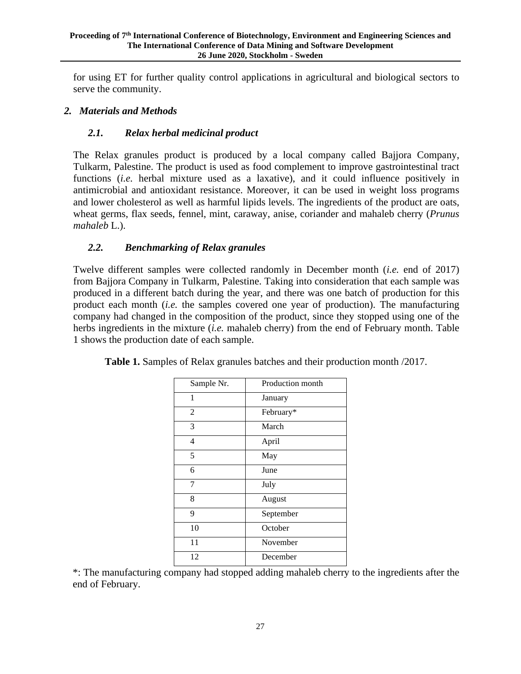for using ET for further quality control applications in agricultural and biological sectors to serve the community.

## *2. Materials and Methods*

### *2.1. Relax herbal medicinal product*

The Relax granules product is produced by a local company called Bajjora Company, Tulkarm, Palestine. The product is used as food complement to improve gastrointestinal tract functions (*i.e.* herbal mixture used as a laxative), and it could influence positively in antimicrobial and antioxidant resistance. Moreover, it can be used in weight loss programs and lower cholesterol as well as harmful lipids levels. The ingredients of the product are oats, wheat germs, flax seeds, fennel, mint, caraway, anise, coriander and mahaleb cherry (*Prunus mahaleb* L.).

### *2.2. Benchmarking of Relax granules*

Twelve different samples were collected randomly in December month (*i.e.* end of 2017) from Bajjora Company in Tulkarm, Palestine. Taking into consideration that each sample was produced in a different batch during the year, and there was one batch of production for this product each month (*i.e.* the samples covered one year of production). The manufacturing company had changed in the composition of the product, since they stopped using one of the herbs ingredients in the mixture (*i.e.* mahaleb cherry) from the end of February month. Table 1 shows the production date of each sample.

| Production month |
|------------------|
| January          |
| February*        |
| March            |
| April            |
| May              |
| June             |
| July             |
| August           |
| September        |
| October          |
| November         |
| December         |
|                  |

**Table 1.** Samples of Relax granules batches and their production month /2017.

\*: The manufacturing company had stopped adding mahaleb cherry to the ingredients after the end of February.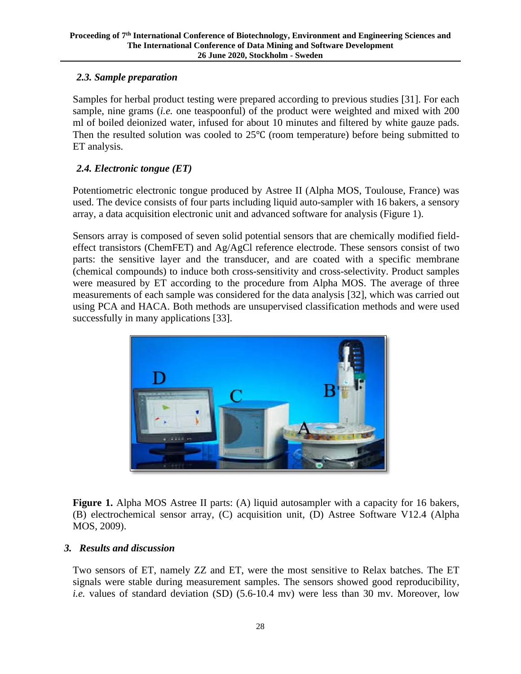# *2.3. Sample preparation*

Samples for herbal product testing were prepared according to previous studies [31]. For each sample, nine grams (*i.e.* one teaspoonful) of the product were weighted and mixed with 200 ml of boiled deionized water, infused for about 10 minutes and filtered by white gauze pads. Then the resulted solution was cooled to 25℃ (room temperature) before being submitted to ET analysis.

# *2.4. Electronic tongue (ET)*

Potentiometric electronic tongue produced by Astree II (Alpha MOS, Toulouse, France) was used. The device consists of four parts including liquid auto-sampler with 16 bakers, a sensory array, a data acquisition electronic unit and advanced software for analysis (Figure 1).

Sensors array is composed of seven solid potential sensors that are chemically modified fieldeffect transistors (ChemFET) and Ag/AgCl reference electrode. These sensors consist of two parts: the sensitive layer and the transducer, and are coated with a specific membrane (chemical compounds) to induce both cross-sensitivity and cross-selectivity. Product samples were measured by ET according to the procedure from Alpha MOS. The average of three measurements of each sample was considered for the data analysis [32], which was carried out using PCA and HACA. Both methods are unsupervised classification methods and were used successfully in many applications [33].



**Figure 1.** Alpha MOS Astree II parts: (A) liquid autosampler with a capacity for 16 bakers, (B) electrochemical sensor array, (C) acquisition unit, (D) Astree Software V12.4 (Alpha MOS, 2009).

## *3. Results and discussion*

Two sensors of ET, namely ZZ and ET, were the most sensitive to Relax batches. The ET signals were stable during measurement samples. The sensors showed good reproducibility, *i.e.* values of standard deviation (SD) (5.6-10.4 mv) were less than 30 mv. Moreover, low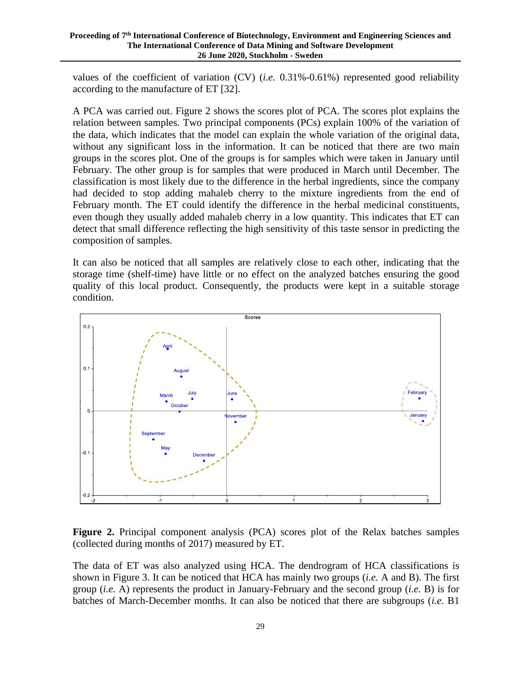values of the coefficient of variation (CV) (*i.e.* 0.31%-0.61%) represented good reliability according to the manufacture of ET [32].

A PCA was carried out. Figure 2 shows the scores plot of PCA. The scores plot explains the relation between samples. Two principal components (PCs) explain 100% of the variation of the data, which indicates that the model can explain the whole variation of the original data, without any significant loss in the information. It can be noticed that there are two main groups in the scores plot. One of the groups is for samples which were taken in January until February. The other group is for samples that were produced in March until December. The classification is most likely due to the difference in the herbal ingredients, since the company had decided to stop adding mahaleb cherry to the mixture ingredients from the end of February month. The ET could identify the difference in the herbal medicinal constituents, even though they usually added mahaleb cherry in a low quantity. This indicates that ET can detect that small difference reflecting the high sensitivity of this taste sensor in predicting the composition of samples.

It can also be noticed that all samples are relatively close to each other, indicating that the storage time (shelf-time) have little or no effect on the analyzed batches ensuring the good quality of this local product. Consequently, the products were kept in a suitable storage condition.



**Figure 2.** Principal component analysis (PCA) scores plot of the Relax batches samples (collected during months of 2017) measured by ET.

The data of ET was also analyzed using HCA. The dendrogram of HCA classifications is shown in Figure 3. It can be noticed that HCA has mainly two groups (*i.e.* A and B). The first group (*i.e.* A) represents the product in January-February and the second group (*i.e.* B) is for batches of March-December months. It can also be noticed that there are subgroups (*i.e.* B1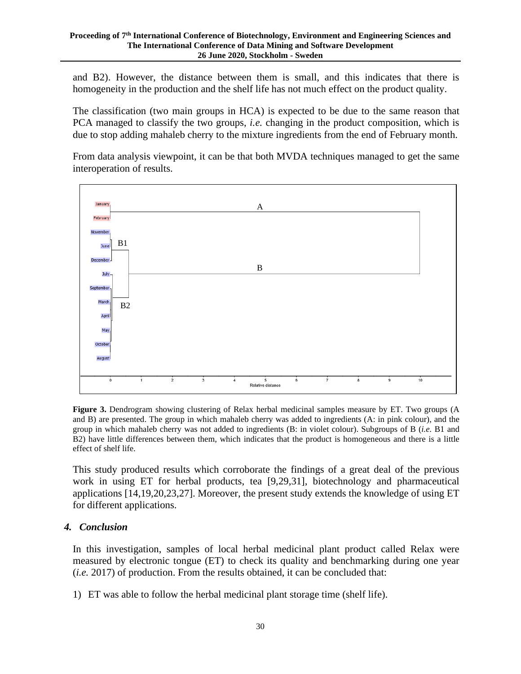and B2). However, the distance between them is small, and this indicates that there is homogeneity in the production and the shelf life has not much effect on the product quality.

The classification (two main groups in HCA) is expected to be due to the same reason that PCA managed to classify the two groups, *i.e.* changing in the product composition, which is due to stop adding mahaleb cherry to the mixture ingredients from the end of February month.

From data analysis viewpoint, it can be that both MVDA techniques managed to get the same interoperation of results.



**Figure 3.** Dendrogram showing clustering of Relax herbal medicinal samples measure by ET. Two groups (A and B) are presented. The group in which mahaleb cherry was added to ingredients (A: in pink colour), and the group in which mahaleb cherry was not added to ingredients (B: in violet colour). Subgroups of B (*i.e.* B1 and B2) have little differences between them, which indicates that the product is homogeneous and there is a little effect of shelf life.

This study produced results which corroborate the findings of a great deal of the previous work in using ET for herbal products, tea [9,29,31], biotechnology and pharmaceutical applications [14,19,20,23,27]. Moreover, the present study extends the knowledge of using ET for different applications.

### *4. Conclusion*

In this investigation, samples of local herbal medicinal plant product called Relax were measured by electronic tongue (ET) to check its quality and benchmarking during one year (*i.e.* 2017) of production. From the results obtained, it can be concluded that:

1) ET was able to follow the herbal medicinal plant storage time (shelf life).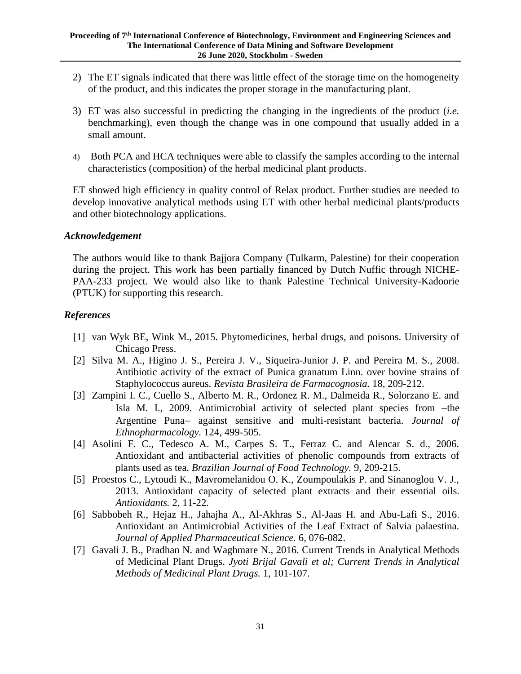- 2) The ET signals indicated that there was little effect of the storage time on the homogeneity of the product, and this indicates the proper storage in the manufacturing plant.
- 3) ET was also successful in predicting the changing in the ingredients of the product (*i.e.* benchmarking), even though the change was in one compound that usually added in a small amount.
- 4) Both PCA and HCA techniques were able to classify the samples according to the internal characteristics (composition) of the herbal medicinal plant products.

ET showed high efficiency in quality control of Relax product. Further studies are needed to develop innovative analytical methods using ET with other herbal medicinal plants/products and other biotechnology applications.

### *Acknowledgement*

The authors would like to thank Bajjora Company (Tulkarm, Palestine) for their cooperation during the project. This work has been partially financed by Dutch Nuffic through NICHE-PAA-233 project. We would also like to thank Palestine Technical University-Kadoorie (PTUK) for supporting this research.

### *References*

- [1] van Wyk BE, Wink M., 2015. Phytomedicines, herbal drugs, and poisons. University of Chicago Press.
- [2] Silva M. A., Higino J. S., Pereira J. V., Siqueira-Junior J. P. and Pereira M. S., 2008. Antibiotic activity of the extract of Punica granatum Linn. over bovine strains of Staphylococcus aureus. *Revista Brasileira de Farmacognosia.* 18, 209-212.
- [3] Zampini I. C., Cuello S., Alberto M. R., Ordonez R. M., Dalmeida R., Solorzano E. and Isla M. I., 2009. Antimicrobial activity of selected plant species from −the Argentine Puna− against sensitive and multi-resistant bacteria. *Journal of Ethnopharmacology.* 124, 499-505.
- [4] Asolini F. C., Tedesco A. M., Carpes S. T., Ferraz C. and Alencar S. d., 2006. Antioxidant and antibacterial activities of phenolic compounds from extracts of plants used as tea. *Brazilian Journal of Food Technology.* 9, 209-215.
- [5] Proestos C., Lytoudi K., Mavromelanidou O. K., Zoumpoulakis P. and Sinanoglou V. J., 2013. Antioxidant capacity of selected plant extracts and their essential oils. *Antioxidants.* 2, 11-22.
- [6] Sabbobeh R., Hejaz H., Jahajha A., Al-Akhras S., Al-Jaas H. and Abu-Lafi S., 2016. Antioxidant an Antimicrobial Activities of the Leaf Extract of Salvia palaestina. *Journal of Applied Pharmaceutical Science.* 6, 076-082.
- [7] Gavali J. B., Pradhan N. and Waghmare N., 2016. Current Trends in Analytical Methods of Medicinal Plant Drugs. *Jyoti Brijal Gavali et al; Current Trends in Analytical Methods of Medicinal Plant Drugs.* 1, 101-107.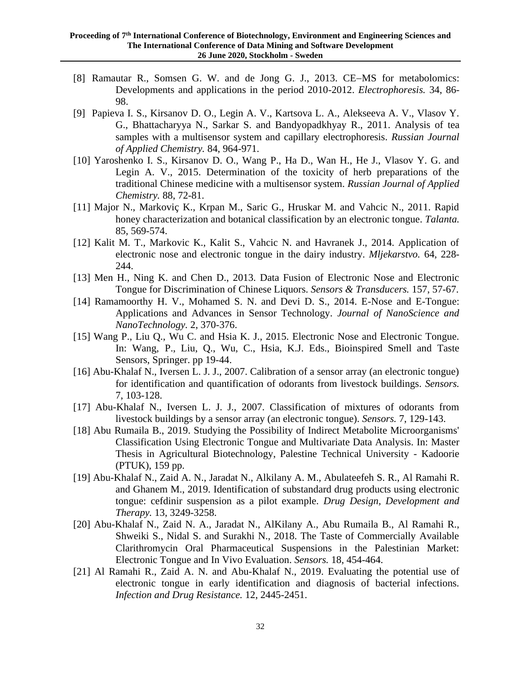- [8] Ramautar R., Somsen G. W. and de Jong G. J., 2013. CE–MS for metabolomics: Developments and applications in the period 2010-2012. *Electrophoresis.* 34, 86- 98.
- [9] Papieva I. S., Kirsanov D. O., Legin A. V., Kartsova L. A., Alekseeva A. V., Vlasov Y. G., Bhattacharyya N., Sarkar S. and Bandyopadkhyay R., 2011. Analysis of tea samples with a multisensor system and capillary electrophoresis. *Russian Journal of Applied Chemistry.* 84, 964-971.
- [10] Yaroshenko I. S., Kirsanov D. O., Wang P., Ha D., Wan H., He J., Vlasov Y. G. and Legin A. V., 2015. Determination of the toxicity of herb preparations of the traditional Chinese medicine with a multisensor system. *Russian Journal of Applied Chemistry.* 88, 72-81.
- [11] Major N., Markoviç K., Krpan M., Saric G., Hruskar M. and Vahcic N., 2011. Rapid honey characterization and botanical classification by an electronic tongue. *Talanta.*  85, 569-574.
- [12] Kalit M. T., Markovic K., Kalit S., Vahcic N. and Havranek J., 2014. Application of electronic nose and electronic tongue in the dairy industry. *Mljekarstvo.* 64, 228- 244.
- [13] Men H., Ning K. and Chen D., 2013. Data Fusion of Electronic Nose and Electronic Tongue for Discrimination of Chinese Liquors. *Sensors & Transducers.* 157, 57-67.
- [14] Ramamoorthy H. V., Mohamed S. N. and Devi D. S., 2014. E-Nose and E-Tongue: Applications and Advances in Sensor Technology. *Journal of NanoScience and NanoTechnology.* 2, 370-376.
- [15] Wang P., Liu Q., Wu C. and Hsia K. J., 2015. Electronic Nose and Electronic Tongue. In: Wang, P., Liu, Q., Wu, C., Hsia, K.J. Eds., Bioinspired Smell and Taste Sensors, Springer. pp 19-44.
- [16] Abu-Khalaf N., Iversen L. J. J., 2007. Calibration of a sensor array (an electronic tongue) for identification and quantification of odorants from livestock buildings. *Sensors.*  7, 103-128.
- [17] Abu-Khalaf N., Iversen L. J. J., 2007. Classification of mixtures of odorants from livestock buildings by a sensor array (an electronic tongue). *Sensors.* 7, 129-143.
- [18] Abu Rumaila B., 2019. Studying the Possibility of Indirect Metabolite Microorganisms' Classification Using Electronic Tongue and Multivariate Data Analysis. In: Master Thesis in Agricultural Biotechnology, Palestine Technical University - Kadoorie (PTUK), 159 pp.
- [19] Abu-Khalaf N., Zaid A. N., Jaradat N., Alkilany A. M., Abulateefeh S. R., Al Ramahi R. and Ghanem M., 2019. Identification of substandard drug products using electronic tongue: cefdinir suspension as a pilot example. *Drug Design, Development and Therapy.* 13, 3249-3258.
- [20] Abu-Khalaf N., Zaid N. A., Jaradat N., AlKilany A., Abu Rumaila B., Al Ramahi R., Shweiki S., Nidal S. and Surakhi N., 2018. The Taste of Commercially Available Clarithromycin Oral Pharmaceutical Suspensions in the Palestinian Market: Electronic Tongue and In Vivo Evaluation. *Sensors.* 18, 454-464.
- [21] Al Ramahi R., Zaid A. N. and Abu-Khalaf N., 2019. Evaluating the potential use of electronic tongue in early identification and diagnosis of bacterial infections. *Infection and Drug Resistance.* 12, 2445-2451.